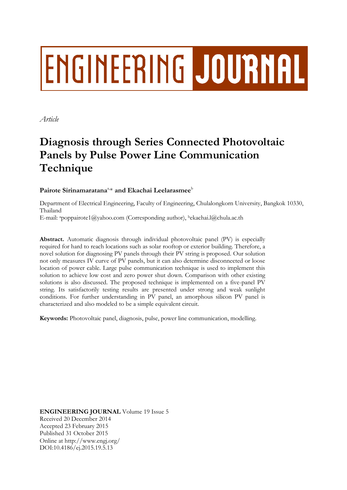# **ENGINEERING JOURNAL**

*Article*

# **Diagnosis through Series Connected Photovoltaic Panels by Pulse Power Line Communication Technique**

# $\mathbf{P}$ airote Sirinamaratana $^{\text{a}_{\cdot\text{+}}}$  and  $\mathbf{Ekachai}\ \mathbf{Leelarasmee}^{\text{b}}$

Department of Electrical Engineering, Faculty of Engineering, Chulalongkorn University, Bangkok 10330, Thailand

E-mail: <sup>a</sup>poppairote1@yahoo.com (Corresponding author), <sup>b</sup>ekachai.l@chula.ac.th

**Abstract.** Automatic diagnosis through individual photovoltaic panel (PV) is especially required for hard to reach locations such as solar rooftop or exterior building. Therefore, a novel solution for diagnosing PV panels through their PV string is proposed. Our solution not only measures IV curve of PV panels, but it can also determine disconnected or loose location of power cable. Large pulse communication technique is used to implement this solution to achieve low cost and zero power shut down. Comparison with other existing solutions is also discussed. The proposed technique is implemented on a five-panel PV string. Its satisfactorily testing results are presented under strong and weak sunlight conditions. For further understanding in PV panel, an amorphous silicon PV panel is characterized and also modeled to be a simple equivalent circuit.

**Keywords:** Photovoltaic panel, diagnosis, pulse, power line communication, modelling.

**ENGINEERING JOURNAL** Volume 19 Issue 5 Received 20 December 2014 Accepted 23 February 2015 Published 31 October 2015 Online at http://www.engj.org/ DOI:10.4186/ej.2015.19.5.13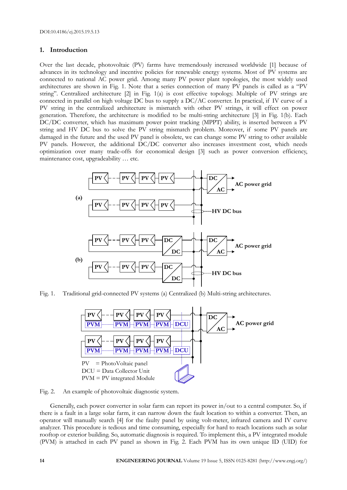# **1. Introduction**

Over the last decade, photovoltaic (PV) farms have tremendously increased worldwide [1] because of advances in its technology and incentive policies for renewable energy systems. Most of PV systems are connected to national AC power grid. Among many PV power plant topologies, the most widely used architectures are shown in Fig. 1. Note that a series connection of many PV panels is called as a "PV string". Centralized architecture [2] in Fig. 1(a) is cost effective topology. Multiple of PV strings are connected in parallel on high voltage DC bus to supply a DC/AC converter. In practical, if IV curve of a PV string in the centralized architecture is mismatch with other PV strings, it will effect on power generation. Therefore, the architecture is modified to be multi-string architecture [3] in Fig. 1(b). Each DC/DC converter, which has maximum power point tracking (MPPT) ability, is inserted between a PV string and HV DC bus to solve the PV string mismatch problem. Moreover, if some PV panels are damaged in the future and the used PV panel is obsolete, we can change some PV string to other available PV panels. However, the additional DC/DC converter also increases investment cost, which needs optimization over many trade-offs for economical design [3] such as power conversion efficiency, maintenance cost, upgradeability … etc.



Fig. 1. Traditional grid-connected PV systems (a) Centralized (b) Multi-string architectures.



Fig. 2. An example of photovoltaic diagnostic system.

Generally, each power converter in solar farm can report its power in/out to a central computer. So, if there is a fault in a large solar farm, it can narrow down the fault location to within a converter. Then, an operator will manually search [4] for the faulty panel by using volt-meter, infrared camera and IV curve analyzer. This procedure is tedious and time consuming, especially for hard to reach locations such as solar rooftop or exterior building. So, automatic diagnosis is required. To implement this, a PV integrated module (PVM) is attached in each PV panel as shown in Fig. 2. Each PVM has its own unique ID (UID) for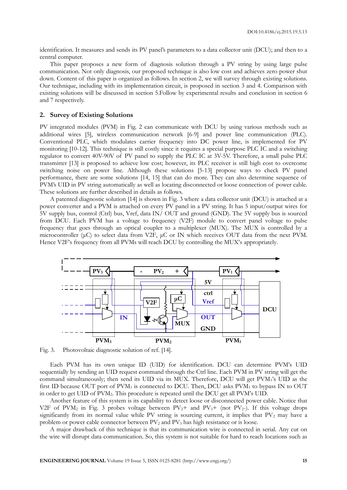identification. It measures and sends its PV panel's parameters to a data collector unit (DCU); and then to a central computer.

This paper proposes a new form of diagnosis solution through a PV string by using large pulse communication. Not only diagnosis, our proposed technique is also low cost and achieves zero power shut down. Content of this paper is organized as follows. In section 2, we will survey through existing solutions. Our technique, including with its implementation circuit, is proposed in section 3 and 4. Comparison with existing solutions will be discussed in section 5.Follow by experimental results and conclusion in section 6 and 7 respectively.

### **2. Survey of Existing Solutions**

PV integrated modules (PVM) in Fig. 2 can communicate with DCU by using various methods such as additional wires [5], wireless communication network [6-9] and power line communication (PLC). Conventional PLC, which modulates carrier frequency into DC power line, is implemented for PV monitoring [10-12]. This technique is still costly since it requires a special purpose PLC IC and a switching regulator to convert 40V-90V of PV panel to supply the PLC IC at 3V-5V. Therefore, a small pulse PLC transmitter [13] is proposed to achieve low cost; however, its PLC receiver is still high cost to overcome switching noise on power line. Although these solutions [5-13] propose ways to check PV panel performance, there are some solutions [14, 15] that can do more. They can also determine sequence of PVM's UID in PV string automatically as well as locating disconnected or loose connection of power cable. These solutions are further described in details as follows.

A patented diagnostic solution [14] is shown in Fig. 3 where a data collector unit (DCU) is attached at a power converter and a PVM is attached on every PV panel in a PV string. It has 5 input/output wires for 5V supply bus, control (Ctrl) bus, Vref, data IN/ OUT and ground (GND). The 5V supply bus is sourced from DCU. Each PVM has a voltage to frequency (V2F) module to convert panel voltage to pulse frequency that goes through an optical coupler to a multiplexer (MUX). The MUX is controlled by a microcontroller (μC) to select data from V2F, μC or IN which receives OUT data from the next PVM. Hence V2F's frequency from all PVMs will reach DCU by controlling the MUX's appropriately.



Fig. 3. Photovoltaic diagnostic solution of ref. [14].

Each PVM has its own unique ID (UID) for identification. DCU can determine PVM's UID sequentially by sending an UID request command through the Ctrl line. Each PVM in PV string will get the command simultaneously; then send its UID via its MUX. Therefore, DCU will get PVM1's UID as the first ID because OUT port of PVM<sub>1</sub> is connected to DCU. Then, DCU asks PVM<sub>1</sub> to bypass IN to OUT in order to get UID of PVM2. This procedure is repeated until the DCU get all PVM's UID.

Another feature of this system is its capability to detect loose or disconnected power cable. Notice that V2F of PVM<sub>2</sub> in Fig. 3 probes voltage between PV<sub>2</sub>+ and PV<sub>3</sub>+ (not PV<sub>2</sub>-). If this voltage drops significantly from its normal value while PV string is sourcing current, it implies that PV<sub>2</sub> may have a problem or power cable connector between PV<sub>2</sub> and PV<sub>3</sub> has high resistance or is loose.

A major drawback of this technique is that its communication wire is connected in serial. Any cut on the wire will disrupt data communication. So, this system is not suitable for hard to reach locations such as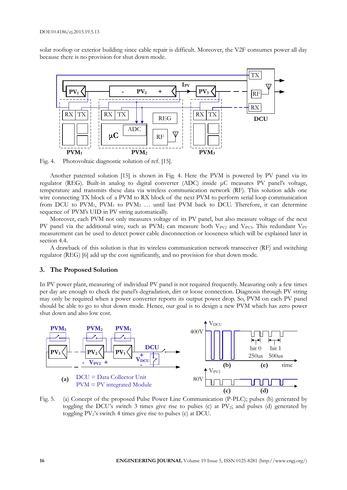solar rooftop or exterior building since cable repair is difficult. Moreover, the V2F consumes power all day because there is no provision for shut down mode.



Fig. 4. Photovoltaic diagnostic solution of ref. [15].

Another patented solution [15] is shown in Fig. 4. Here the PVM is powered by PV panel via its regulator (REG). Built-in analog to digital converter (ADC) inside μC measures PV panel's voltage, temperature and transmits these data via wireless communication network (RF). This solution adds one wire connecting TX block of a PVM to RX block of the next PVM to perform serial loop communication from DCU to  $PVM_1$ ,  $PVM_1$  to  $PVM_2$  ... until last  $PVM$  back to DCU. Therefore, it can determine sequence of PVM's UID in PV string automatically.

Moreover, each PVM not only measures voltage of its PV panel, but also measure voltage of the next PV panel via the additional wire, such as  $PVM<sub>2</sub>$  can measure both V<sub>PV2</sub> and V<sub>PV3</sub>. This redundant V<sub>PV</sub> measurement can be used to detect power cable disconnection or looseness which will be explained later in section 4.4.

A drawback of this solution is that its wireless communication network transceiver (RF) and switching regulator (REG) [6] add up the cost significantly, and no provision for shut down mode.

#### **3. The Proposed Solution**

In PV power plant, measuring of individual PV panel is not required frequently. Measuring only a few times per day are enough to check the panel's degradation, dirt or loose connection. Diagnosis through PV string may only be required when a power converter reports its output power drop. So, PVM on each PV panel should be able to go to shut down mode. Hence, our goal is to design a new PVM which has zero power shut down and also low cost.



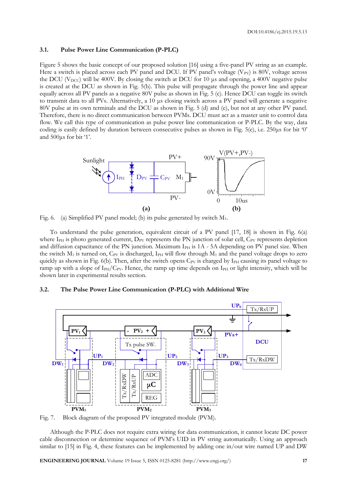DOI:10.4186/ej.2015.19.5.13

#### **3.1. Pulse Power Line Communication (P-PLC)**

Figure 5 shows the basic concept of our proposed solution [16] using a five-panel PV string as an example. Here a switch is placed across each PV panel and DCU. If PV panel's voltage (V<sub>PV</sub>) is 80V, voltage across the DCU ( $V_{\text{DCU}}$ ) will be 400V. By closing the switch at DCU for 10 µs and opening, a 400V negative pulse is created at the DCU as shown in Fig. 5(b). This pulse will propagate through the power line and appear equally across all PV panels as a negative 80V pulse as shown in Fig. 5 (c). Hence DCU can toggle its switch to transmit data to all PVs. Alternatively, a 10 μs closing switch across a PV panel will generate a negative 80V pulse at its own terminals and the DCU as shown in Fig. 5 (d) and (e), but not at any other PV panel. Therefore, there is no direct communication between PVMs. DCU must act as a master unit to control data flow. We call this type of communication as pulse power line communication or P-PLC. By the way, data coding is easily defined by duration between consecutive pulses as shown in Fig. 5(e), i.e. 250μs for bit '0' and 500μs for bit '1'.





To understand the pulse generation, equivalent circuit of a PV panel [17, 18] is shown in Fig. 6(a) where IPH is photo generated current, DPV represents the PN junction of solar cell, CPV represents depletion and diffusion capacitance of the PN junction. Maximum  $I<sub>PH</sub>$  is 1A - 5A depending on PV panel size. When the switch  $M_1$  is turned on,  $C_{PV}$  is discharged, I<sub>PH</sub> will flow through  $M_1$  and the panel voltage drops to zero quickly as shown in Fig. 6(b). Then, after the switch opens  $C_{PV}$  is charged by I<sub>PH</sub> causing its panel voltage to ramp up with a slope of  $I_{PH}/C_{PV}$ . Hence, the ramp up time depends on  $I_{PH}$  or light intensity, which will be shown later in experimental results section.

#### **3.2. The Pulse Power Line Communication (P-PLC) with Additional Wire**



Fig. 7. Block diagram of the proposed PV integrated module (PVM).

Although the P-PLC does not require extra wiring for data communication, it cannot locate DC power cable disconnection or determine sequence of PVM's UID in PV string automatically. Using an approach similar to [15] in Fig. 4, these features can be implemented by adding one in/out wire named UP and DW

**ENGINEERING JOURNAL** Volume 19 Issue 5, ISSN 0125-8281 (http://www.engj.org/) **17**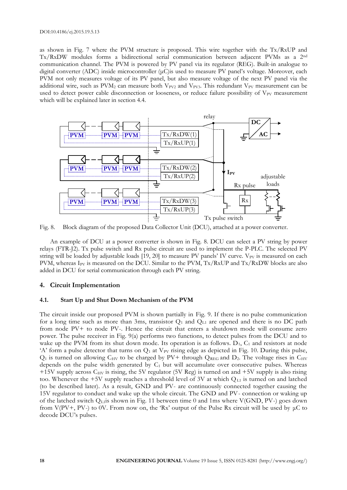#### DOI:10.4186/ej.2015.19.5.13

as shown in Fig. 7 where the PVM structure is proposed. This wire together with the Tx/RxUP and Tx/RxDW modules forms a bidirectional serial communication between adjacent PVMs as a 2nd communication channel. The PVM is powered by PV panel via its regulator (REG). Built-in analogue to digital converter (ADC) inside microcontroller (μC)is used to measure PV panel's voltage. Moreover, each PVM not only measures voltage of its PV panel, but also measure voltage of the next PV panel via the additional wire, such as  $PVM<sub>2</sub>$  can measure both V<sub>PV2</sub> and V<sub>PV3</sub>. This redundant V<sub>PV</sub> measurement can be used to detect power cable disconnection or looseness, or reduce failure possibility of V<sub>PV</sub> measurement which will be explained later in section 4.4.



Fig. 8. Block diagram of the proposed Data Collector Unit (DCU), attached at a power converter.

An example of DCU at a power converter is shown in Fig. 8. DCU can select a PV string by power relays (FTR-J2). Tx pulse switch and Rx pulse circuit are used to implement the P-PLC. The selected PV string will be loaded by adjustable loads [19, 20] to measure PV panels' IV curve.  $V_{PV}$  is measured on each PVM, whereas IPV is measured on the DCU. Similar to the PVM, Tx/RxUP and Tx/RxDW blocks are also added in DCU for serial communication through each PV string.

# **4. Circuit Implementation**

#### **4.1. Start Up and Shut Down Mechanism of the PVM**

The circuit inside our proposed PVM is shown partially in Fig. 9. If there is no pulse communication for a long time such as more than 3ms, transistor  $Q_1$  and  $Q_{L1}$  are opened and there is no DC path from node PV+ to node PV-. Hence the circuit that enters a shutdown mode will consume zero power. The pulse receiver in Fig. 9(a) performs two functions, to detect pulses from the DCU and to wake up the PVM from its shut down mode. Its operation is as follows.  $D_1$ ,  $C_1$  and resistors at node 'A' form a pulse detector that turns on  $Q_1$  at  $V_{PV}$  rising edge as depicted in Fig. 10. During this pulse,  $Q_1$  is turned on allowing  $C_{HV}$  to be charged by PV+ through  $Q_{REG}$  and  $D_2$ . The voltage rises in  $C_{HV}$ depends on the pulse width generated by  $C_1$  but will accumulate over consecutive pulses. Whereas +15V supply across  $C_{HV}$  is rising, the 5V regulator (5V Reg) is turned on and +5V supply is also rising too. Whenever the +5V supply reaches a threshold level of 3V at which  $Q_{L1}$  is turned on and latched (to be described later). As a result, GND and PV- are continuously connected together causing the 15V regulator to conduct and wake up the whole circuit. The GND and PV- connection or waking up of the latched switch  $Q_{\text{L1}}$  is shown in Fig. 11 between time 0 and 1ms where V(GND, PV-) goes down from  $V(PV+, PV-)$  to 0V. From now on, the 'Rx' output of the Pulse Rx circuit will be used by  $\mu C$  to decode DCU's pulses.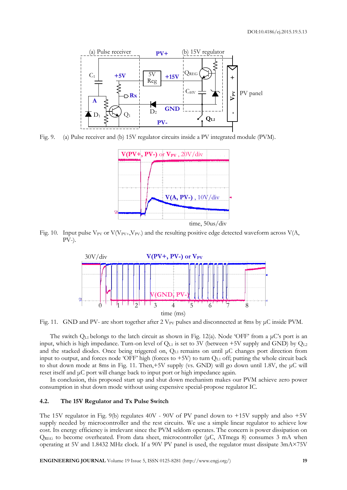

Fig. 9. (a) Pulse receiver and (b) 15V regulator circuits inside a PV integrated module (PVM).



Fig. 10. Input pulse  $V_{PV}$  or  $V(V_{PV+}, V_{PV-})$  and the resulting positive edge detected waveform across  $V(A, \mathcal{L})$ PV-).



Fig. 11. GND and PV- are short together after 2 V<sub>PV</sub> pulses and disconnected at 8ms by μC inside PVM.

The switch QL1 belongs to the latch circuit as shown in Fig. 12(a). Node 'OFF' from a μC's port is an input, which is high impedance. Turn-on level of  $Q<sub>L1</sub>$  is set to 3V (between +5V supply and GND) by  $Q<sub>L2</sub>$ and the stacked diodes. Once being triggered on,  $Q_{L1}$  remains on until  $\mu$ C changes port direction from input to output, and forces node 'OFF' high (forces to  $+5V$ ) to turn  $Q<sub>L1</sub>$  off; putting the whole circuit back to shut down mode at 8ms in Fig. 11. Then,+5V supply (vs. GND) will go down until 1.8V, the μC will reset itself and μC port will change back to input port or high impedance again.

In conclusion, this proposed start up and shut down mechanism makes our PVM achieve zero power consumption in shut down mode without using expensive special-propose regulator IC.

#### **4.2. The 15V Regulator and Tx Pulse Switch**

The 15V regulator in Fig. 9(b) regulates 40V - 90V of PV panel down to +15V supply and also +5V supply needed by microcontroller and the rest circuits. We use a simple linear regulator to achieve low cost. Its energy efficiency is irrelevant since the PVM seldom operates. The concern is power dissipation on  $Q_{REG}$  to become overheated. From data sheet, microcontroller ( $\mu$ C, ATmega 8) consumes 3 mA when operating at 5V and 1.8432 MHz clock. If a 90V PV panel is used, the regulator must dissipate 3mA×75V

**ENGINEERING JOURNAL** Volume 19 Issue 5, ISSN 0125-8281 (http://www.engj.org/) **19**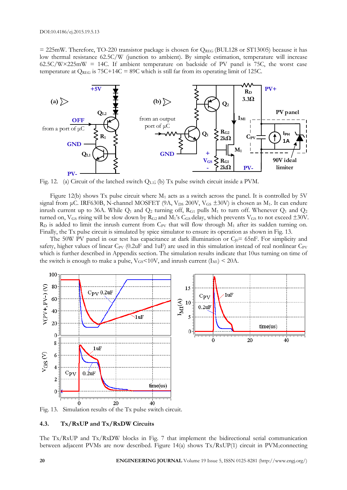$= 225$ mW. Therefore, TO-220 transistor package is chosen for  $Q_{REG}$  (BUL128 or ST13005) because it has low thermal resistance 62.5C/W (junction to ambient). By simple estimation, temperature will increase  $62.5C/W\times225mW = 14C$ . If ambient temperature on backside of PV panel is 75C, the worst case temperature at  $Q_{REG}$  is 75C+14C = 89C which is still far from its operating limit of 125C.



Fig. 12. (a) Circuit of the latched switch QL1; (b) Tx pulse switch circuit inside a PVM.

Figure 12(b) shows Tx pulse circuit where  $M_1$  acts as a switch across the panel. It is controlled by 5V signal from  $\mu$ C. IRF630B, N-channel MOSFET (9A, V<sub>DS</sub> 200V, V<sub>GS</sub>  $\pm 30$ V) is chosen as M<sub>1</sub>. It can endure inrush current up to 36A. While  $Q_1$  and  $Q_2$  turning off,  $R_{G1}$  pulls  $M_1$  to turn off. Whenever  $Q_1$  and  $Q_2$ turned on, V<sub>GS</sub> rising will be slow down by R<sub>G2</sub> and M<sub>1</sub>'s C<sub>GS</sub> delay, which prevents V<sub>GS</sub> to not exceed  $\pm 30V$ .  $R<sub>D</sub>$  is added to limit the inrush current from C<sub>PV</sub> that will flow through  $M<sub>1</sub>$  after its sudden turning on. Finally, the Tx pulse circuit is simulated by spice simulator to ensure its operation as shown in Fig. 13.

The 50W PV panel in our test has capacitance at dark illumination or  $C_{10}$ = 65nF. For simplicity and safety, higher values of linear  $C_{PV}$  (0.2uF and 1uF) are used in this simulation instead of real nonlinear  $C_{PV}$ which is further described in Appendix section. The simulation results indicate that 10us turning on time of the switch is enough to make a pulse,  $V_{GS}$ <10V, and inrush current (I<sub>M1</sub>) < 20A.



Fig. 13. Simulation results of the Tx pulse switch circuit.

#### **4.3. Tx/RxUP and Tx/RxDW Circuits**

The Tx/RxUP and Tx/RxDW blocks in Fig. 7 that implement the bidirectional serial communication between adjacent PVMs are now described. Figure 14(a) shows  $Tx/RxUP(1)$  circuit in PVM<sub>1</sub>connecting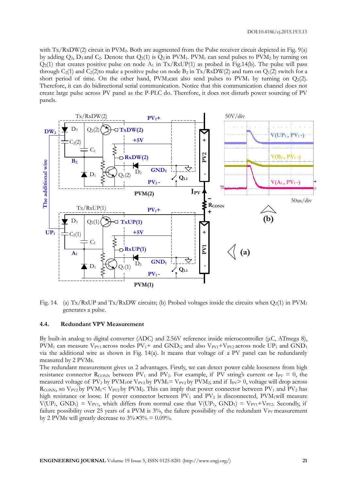with Tx/RxDW(2) circuit in PVM<sub>2</sub>. Both are augmented from the Pulse receiver circuit depicted in Fig. 9(a) by adding  $Q_2$ ,  $D_3$  and  $C_2$ . Denote that  $Q_2(1)$  is  $Q_2$  in PVM<sub>1</sub>. PVM<sub>1</sub> can send pulses to PVM<sub>2</sub> by turning on  $Q_2(1)$  that creates positive pulse on node  $A_1$  in Tx/RxUP(1) as probed in Fig.14(b). The pulse will pass through  $C_2(1)$  and  $C_2(2)$  to make a positive pulse on node  $B_2$  in  $Tx/RxDW(2)$  and turn on  $Q_1(2)$  switch for a short period of time. On the other hand,  $PVM_2$ can also send pulses to  $PVM_1$  by turning on  $Q_2(2)$ . Therefore, it can do bidirectional serial communication. Notice that this communication channel does not create large pulse across PV panel as the P-PLC do. Therefore, it does not disturb power sourcing of PV panels.



Fig. 14. (a) Tx/RxUP and Tx/RxDW circuits; (b) Probed voltages inside the circuits when  $Q_2(1)$  in PVM<sub>1</sub> generates a pulse.

#### **4.4. Redundant VPV Measurement**

By built-in analog to digital converter (ADC) and 2.56V reference inside microcontroller (μC, ATmega 8),  $PVM_1$  can measure  $V_{PVI}$  across nodes  $PV_1$ + and GND<sub>1</sub>; and also  $V_{PVI}$ + $V_{PV2}$  across node UP<sub>1</sub> and GND<sub>1</sub> via the additional wire as shown in Fig. 14(a). It means that voltage of a PV panel can be redundantly measured by 2 PVMs.

The redundant measurement gives us 2 advantages. Firstly, we can detect power cable looseness from high resistance connector  $R_{\text{CONN}}$  between PV<sub>1</sub> and PV<sub>2</sub>. For example, if PV string's current or I<sub>PV</sub> = 0, the measured voltage of PV<sub>2</sub> by PVM<sub>1</sub>or V<sub>PV2</sub> by PVM<sub>1</sub>= V<sub>PV2</sub> by PVM<sub>2</sub>; and if  $I_{PV}$  o, voltage will drop across  $R_{\text{CONN}}$ , so  $V_{\text{PV2}}$  by  $\text{PVM}_1 < V_{\text{PV2}}$  by  $\text{PVM}_2$ . This can imply that power connector between  $\text{PV}_1$  and  $\text{PV}_2$  has high resistance or loose. If power connector between  $PV_1$  and  $PV_2$  is disconnected,  $PVM_1$ will measure  $V(UP_1, GND_1) = V_{PV1}$ , which differs from normal case that  $V(UP_1, GND_1) = V_{PV1} + V_{PV2}$ . Secondly, if failure possibility over 25 years of a PVM is 3%, the failure possibility of the redundant V<sub>PV</sub> measurement by 2 PVMs will greatly decrease to  $3\% \times 3\% = 0.09\%$ .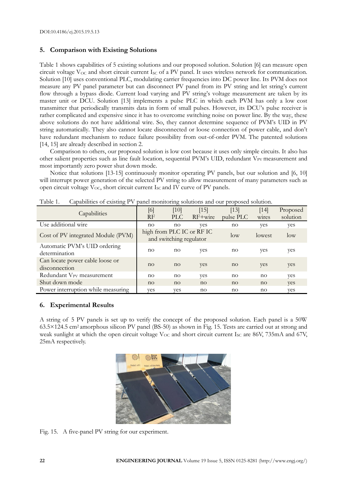# **5. Comparison with Existing Solutions**

Table 1 shows capabilities of 5 existing solutions and our proposed solution. Solution [6] can measure open circuit voltage  $V_{OC}$  and short circuit current  $I_{SC}$  of a PV panel. It uses wireless network for communication. Solution [10] uses conventional PLC, modulating carrier frequencies into DC power line. Its PVM does not measure any PV panel parameter but can disconnect PV panel from its PV string and let string's current flow through a bypass diode. Current load varying and PV string's voltage measurement are taken by its master unit or DCU. Solution [13] implements a pulse PLC in which each PVM has only a low cost transmitter that periodically transmits data in form of small pulses. However, its DCU's pulse receiver is rather complicated and expensive since it has to overcome switching noise on power line. By the way, these above solutions do not have additional wire. So, they cannot determine sequence of PVM's UID in PV string automatically. They also cannot locate disconnected or loose connection of power cable, and don't have redundant mechanism to reduce failure possibility from out-of-order PVM. The patented solutions [14, 15] are already described in section 2.

Comparison to others, our proposed solution is low cost because it uses only simple circuits. It also has other salient properties such as line fault location, sequential PVM's UID, redundant V<sub>PV</sub> measurement and most importantly zero power shut down mode.

Notice that solutions [13-15] continuously monitor operating PV panels, but our solution and [6, 10] will interrupt power generation of the selected PV string to allow measurement of many parameters such as open circuit voltage  $V_{OC}$ , short circuit current  $I_{SC}$  and IV curve of PV panels.

| Capabilities                                     | [6]<br>RF                                            | [10]<br>PLC | $[15]$<br>$RF+wire$ | $[13]$<br>pulse PLC | $[14]$<br>wires | Proposed<br>solution |
|--------------------------------------------------|------------------------------------------------------|-------------|---------------------|---------------------|-----------------|----------------------|
| Use additional wire                              | no                                                   | no          | yes                 | no                  | yes             | yes                  |
| Cost of PV integrated Module (PVM)               | high from PLC IC or RF IC<br>and switching regulator |             |                     | $\log$              | lowest          | $\log$               |
| Automatic PVM's UID ordering<br>determination    | no                                                   | no          | yes                 | no                  | yes             | yes                  |
| Can locate power cable loose or<br>disconnection | no                                                   | no          | yes                 | no                  | yes             | yes                  |
| Redundant V <sub>PV</sub> measurement            | $n_{\Omega}$                                         | no          | yes                 | no                  | no              | yes                  |
| Shut down mode                                   | no                                                   | no          | no                  | no                  | no              | yes                  |
| Power interruption while measuring               | ves                                                  | ves         | no                  | no                  | no              | yes                  |

Table 1. Capabilities of existing PV panel monitoring solutions and our proposed solution.

# **6. Experimental Results**

A string of 5 PV panels is set up to verify the concept of the proposed solution. Each panel is a 50W 63.5×124.5 cm2 amorphous silicon PV panel (BS-50) as shown in Fig. 15. Tests are carried out at strong and weak sunlight at which the open circuit voltage  $V_{\text{OC}}$  and short circuit current I<sub>SC</sub> are 86V, 735mA and 67V, 25mA respectively.



Fig. 15. A five-panel PV string for our experiment.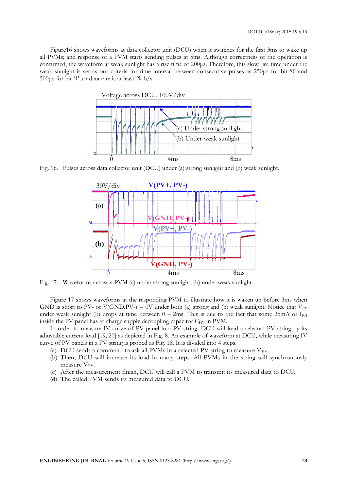Figure16 shows waveforms at data collector unit (DCU) when it switches for the first 3ms to wake up all PVMs; and response of a PVM starts sending pulses at 5ms. Although correctness of the operation is confirmed, the waveform at weak sunlight has a rise time of 200μs. Therefore, this slow rise time under the weak sunlight is set as our criteria for time interval between consecutive pulses as 250μs for bit '0' and 500 $\mu$ s for bit '1'; or data rate is at least 2k b/s.



Fig. 16. Pulses across data collector unit (DCU) under (a) strong sunlight and (b) weak sunlight.



Fig. 17. Waveforms across a PVM (a) under strong sunlight; (b) under weak sunlight.

Figure 17 shows waveforms at the responding PVM to illustrate how it is waken up before 3ms when GND is short to PV- or V(GND, PV-) = 0V under both (a) strong and (b) weak sunlight. Notice that  $V_{PV}$ under weak sunlight (b) drops at time between  $0 - 2$ ms. This is due to the fact that some 25mA of I<sub>PH</sub> inside the PV panel has to charge supply decoupling capacitor  $C_{\text{HV}}$  in PVM.

In order to measure IV curve of PV panel in a PV string. DCU will load a selected PV string by its adjustable current load [19, 20] as depicted in Fig. 8. An example of waveform at DCU, while measuring IV curve of PV panels in a PV string is probed as Fig. 18. It is divided into 4 steps.

- (a) DCU sends a command to ask all PVMs in a selected PV string to measure  $V_{PV}$ .
- (b) Then, DCU will increase its load in many steps. All PVMs in the string will synchronously measure  $V_{PV}$ .
- (c) After the measurement finish, DCU will call a PVM to transmit its measured data to DCU.
- (d) The called PVM sends its measured data to DCU.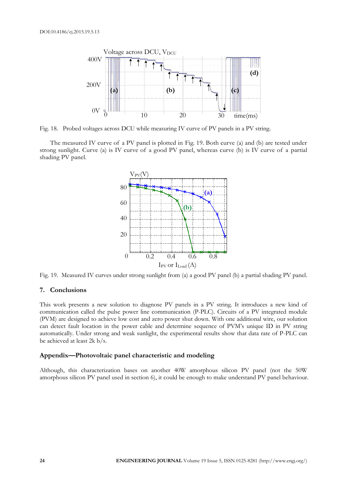

Fig. 18. Probed voltages across DCU while measuring IV curve of PV panels in a PV string.

The measured IV curve of a PV panel is plotted in Fig. 19. Both curve (a) and (b) are tested under strong sunlight. Curve (a) is IV curve of a good PV panel, whereas curve (b) is IV curve of a partial shading PV panel.



Fig. 19. Measured IV curves under strong sunlight from (a) a good PV panel (b) a partial shading PV panel.

# **7. Conclusions**

This work presents a new solution to diagnose PV panels in a PV string. It introduces a new kind of communication called the pulse power line communication (P-PLC). Circuits of a PV integrated module (PVM) are designed to achieve low cost and zero power shut down. With one additional wire, our solution can detect fault location in the power cable and determine sequence of PVM's unique ID in PV string automatically. Under strong and weak sunlight, the experimental results show that data rate of P-PLC can be achieved at least 2k b/s.

#### **Appendix—Photovoltaic panel characteristic and modeling**

Although, this characterization bases on another 40W amorphous silicon PV panel (not the 50W amorphous silicon PV panel used in section 6), it could be enough to make understand PV panel behaviour.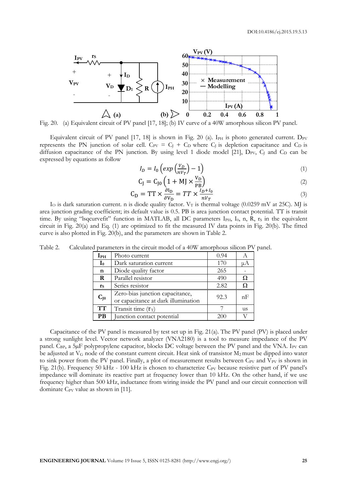

Fig. 20. (a) Equivalent circuit of PV panel [17, 18]; (b) IV curve of a 40W amorphous silicon PV panel.

Equivalent circuit of PV panel  $[17, 18]$  is shown in Fig. 20 (a). I<sub>PH</sub> is photo generated current. D<sub>PV</sub> represents the PN junction of solar cell.  $C_{PV} = C_1 + C_0$  where  $C_1$  is depletion capacitance and  $C_D$  is diffusion capacitance of the PN junction. By using level 1 diode model [21],  $D_{PV}$ ,  $C_1$  and  $C_D$  can be expressed by equations as follow

$$
I_D = I_0 \left( \exp\left(\frac{V_D}{nV_T}\right) - 1 \right) \tag{1}
$$

$$
C_{J} = C_{J0} \left( 1 + MJ \times \frac{V_D}{PB} \right)
$$
 (2)

$$
C_{D} = TT \times \frac{\partial I_{D}}{\partial V_{D}} = TT \times \frac{I_{D} + I_{0}}{nV_{T}}
$$
\n(3)

I<sub>O</sub> is dark saturation current. n is diode quality factor.  $V_T$  is thermal voltage (0.0259 mV at 25C). MJ is area junction grading coefficient; its default value is 0.5. PB is area junction contact potential. TT is transit time. By using "lsqcurvefit" function in MATLAB, all DC parameters I<sub>PH</sub>, I<sub>0</sub>, n, R, r<sub>S</sub> in the equivalent circuit in Fig. 20(a) and Eq. (1) are optimized to fit the measured IV data points in Fig. 20(b). The fitted curve is also plotted in Fig. 20(b), and the parameters are shown in Table 2.

| $\mathbf{I}_{\mathrm{PH}}$ | Photo current                                                          | 0.94 |    |
|----------------------------|------------------------------------------------------------------------|------|----|
| $\mathbf{I}_0$             | Dark saturation current                                                | 170  | μA |
| $\mathbf n$                | Diode quality factor                                                   | 265  |    |
| R                          | Parallel resistor                                                      | 490  | Ω  |
| $\mathbf{r}_\mathbf{S}$    | Series resistor                                                        | 2.82 | Ω  |
| $C_{J0}$                   | Zero-bias junction capacitance,<br>or capacitance at dark illumination | 92.3 | nF |
| <b>TT</b>                  | Transit time $(\tau_T)$                                                |      | us |
| <b>PB</b>                  | Junction contact potential                                             | 200  |    |

Table 2. Calculated parameters in the circuit model of a 40W amorphous silicon PV panel.

Capacitance of the PV panel is measured by test set up in Fig. 21(a). The PV panel (PV) is placed under a strong sunlight level. Vector network analyzer (VNA2180) is a tool to measure impedance of the PV panel. C<sub>BP</sub>, a 5µF polypropylene capacitor, blocks DC voltage between the PV panel and the VNA. I<sub>PV</sub> can be adjusted at  $V_G$  node of the constant current circuit. Heat sink of transistor  $M_2$  must be dipped into water to sink power from the PV panel. Finally, a plot of measurement results between  $C_{PV}$  and  $V_{PV}$  is shown in Fig. 21(b). Frequency 50 kHz - 100 kHz is chosen to characterize C<sub>PV</sub> because resistive part of PV panel's impedance will dominate its reactive part at frequency lower than 10 kHz. On the other hand, if we use frequency higher than 500 kHz, inductance from wiring inside the PV panel and our circuit connection will dominate  $C_{PV}$  value as shown in [11].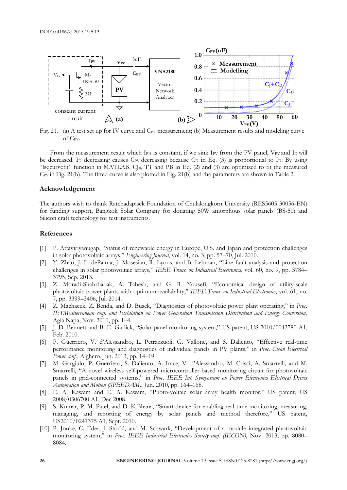

Fig. 21. (a) A test set up for IV curve and  $C_{PV}$  measurement; (b) Measurement results and modeling curve of C<sub>PV</sub>.

From the measurement result which  $I_{PH}$  is constant, if we sink I<sub>PV</sub> from the PV panel, V<sub>PV</sub> and I<sub>D</sub> will be decreased. In decreasing causes  $C_{PV}$  decreasing because  $C_D$  in Eq. (3) is proportional to I<sub>D</sub>. By using "lsqcurvefit" function in MATLAB, CJ0, TT and PB in Eq. (2) and (3) are optimized to fit the measured C<sub>PV</sub> in Fig. 21(b). The fitted curve is also plotted in Fig. 21(b) and the parameters are shown in Table 2.

#### **Acknowledgement**

The authors wish to thank Ratchadapisek Foundation of Chulalongkorn University (RES5605 30056-EN) for funding support, Bangkok Solar Company for donating 50W amorphous solar panels (BS-50) and Silicon craft technology for test instruments.

#### **References**

- [1] P. Attaviriyanugap, "Status of renewable energy in Europe, U.S. and Japan and protection challenges in solar photovoltaic arrays," *Engineering Journal*, vol. 14, no. 3, pp. 57–70, Jul. 2010.
- [2] Y. Zhao, J. F. dePalma, J. Mosesian, R. Lyons, and B. Lehman, "Line fault analysis and protection challenges in solar photovoltaic arrays," *IEEE Trans. on Industrial Electronics*, vol. 60, no. 9, pp. 3784– 3795, Sep. 2013.
- [3] Z. Moradi-Shahrbabak, A. Tabesh, and G. R. Yousefi, "Economical design of utility-scale photovoltaic power plants with optimum availability," *IEEE Trans. on Industrial Electronics*, vol. 61, no. 7, pp. 3399–3406, Jul. 2014.
- [4] Z. Machacek, Z. Benda, and D. Busek, "Diagnostics of photovoltaic power plant operating," in *Proc. IETMediterranean conf. and Exhibition on Power Generation Transmission Distribution and Energy Conversion*, Agia Napa, Nov. 2010, pp. 1–4.
- [5] J. D. Bennett and B. E. Garlick, "Solar panel monitoring system," US patent, US 2010/0043780 A1, Feb. 2010.
- [6] P. Guerriero, V. d'Alessandro, L. Petrazzuoli, G. Vallone, and S. Daliento, "Effective real-time performance monitoring and diagnostics of individual panels in PV plants," in *Proc. Clean Electrical Power conf.*, Alghero, Jun. 2013, pp. 14–19.
- [7] M. Gargiulo, P. Guerriero, S. Daliento, A. Irace, V. d'Alessandro, M. Crisci, A. Smarrelli, and M. Smarrelli, "A novel wireless self-powered microcontroller-based monitoring circuit for photovoltaic panels in grid-connected systems," in *Proc. IEEE Int. Symposium on Power Electronics Electrical Drives Automation and Motion (SPEEDAM)*, Jun. 2010, pp. 164–168.
- [8] E. A. Kawam and E. A. Kawam, "Photo-voltaic solar array health monitor," US patent, US 2008/0306700 A1, Dec 2008.
- [9] S. Kumar, P. M. Patel, and D. K.Bhana, "Smart device for enabling real-time monitoring, measuring, managing, and reporting of energy by solar panels and method therefore," US patent, US2010/0241375 A1, Sept. 2010.
- [10] P. Jonke, C. Eder, J. Stockl, and M. Schwark, "Development of a module integrated photovoltaic monitoring system," in *Proc. IEEE Industrial Electronics Society conf. (IECON)*, Nov. 2013, pp. 8080– 8084.